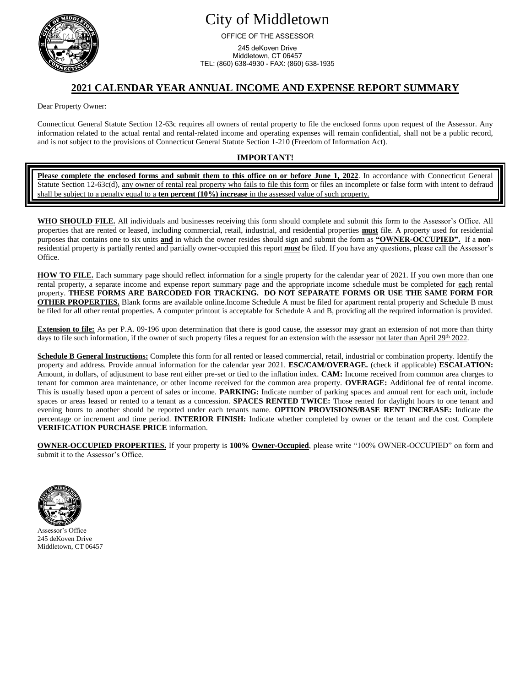

# City of Middletown

OFFICE OF THE ASSESSOR

245 deKoven Drive Middletown, CT 06457 TEL: (860) 638-4930 - FAX: (860) 638-1935

### **2021 CALENDAR YEAR ANNUAL INCOME AND EXPENSE REPORT SUMMARY**

Dear Property Owner:

Connecticut General Statute Section 12-63c requires all owners of rental property to file the enclosed forms upon request of the Assessor. Any information related to the actual rental and rental-related income and operating expenses will remain confidential, shall not be a public record, and is not subject to the provisions of Connecticut General Statute Section 1-210 (Freedom of Information Act).

#### **IMPORTANT!**

**Please complete the enclosed forms and submit them to this office on or before June 1, 2022**. In accordance with Connecticut General Statute Section 12-63c(d), any owner of rental real property who fails to file this form or files an incomplete or false form with intent to defraud shall be subject to a penalty equal to a **ten percent (10%) increase** in the assessed value of such property.

**WHO SHOULD FILE.** All individuals and businesses receiving this form should complete and submit this form to the Assessor's Office. All properties that are rented or leased, including commercial, retail, industrial, and residential properties **must** file. A property used for residential purposes that contains one to six units **and** in which the owner resides should sign and submit the form as **"OWNER-OCCUPIED".** If a **non**residential property is partially rented and partially owner-occupied this report *must* be filed. If you have any questions, please call the Assessor's Office.

**HOW TO FILE.** Each summary page should reflect information for a single property for the calendar year of 2021. If you own more than one rental property, a separate income and expense report summary page and the appropriate income schedule must be completed for each rental property. **THESE FORMS ARE BARCODED FOR TRACKING. DO NOT SEPARATE FORMS OR USE THE SAME FORM FOR OTHER PROPERTIES.** Blank forms are available online.Income Schedule A must be filed for apartment rental property and Schedule B must be filed for all other rental properties. A computer printout is acceptable for Schedule A and B, providing all the required information is provided.

**Extension to file:** As per P.A. 09-196 upon determination that there is good cause, the assessor may grant an extension of not more than thirty days to file such information, if the owner of such property files a request for an extension with the assessor not later than April 29<sup>th</sup> 2022.

**Schedule B General Instructions:** Complete this form for all rented or leased commercial, retail, industrial or combination property. Identify the property and address. Provide annual information for the calendar year 2021. **ESC/CAM/OVERAGE.** (check if applicable) **ESCALATION:** Amount, in dollars, of adjustment to base rent either pre-set or tied to the inflation index. **CAM:** Income received from common area charges to tenant for common area maintenance, or other income received for the common area property. **OVERAGE:** Additional fee of rental income. This is usually based upon a percent of sales or income. **PARKING:** Indicate number of parking spaces and annual rent for each unit, include spaces or areas leased or rented to a tenant as a concession. **SPACES RENTED TWICE:** Those rented for daylight hours to one tenant and evening hours to another should be reported under each tenants name. **OPTION PROVISIONS/BASE RENT INCREASE:** Indicate the percentage or increment and time period. **INTERIOR FINISH:** Indicate whether completed by owner or the tenant and the cost. Complete **VERIFICATION PURCHASE PRICE** information.

**OWNER-OCCUPIED PROPERTIES.** If your property is **100% Owner-Occupied**, please write "100% OWNER-OCCUPIED" on form and submit it to the Assessor's Office.



Assessor's Office 245 deKoven Drive Middletown, CT 06457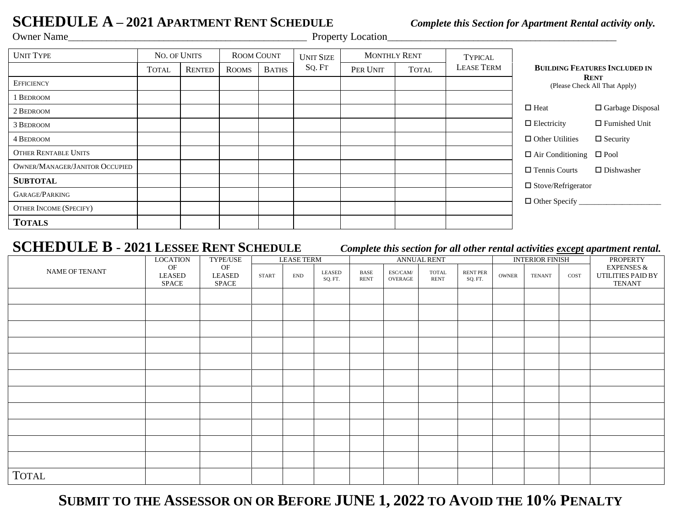# **SCHEDULE A** – 2021 **APARTMENT RENT SCHEDULE** *Complete this Section for Apartment Rental activity only.*<br>Property Location *Property Location*

Property Location

| <b>UNIT TYPE</b>                      | NO. OF UNITS |               |              | <b>ROOM COUNT</b> |        | <b>MONTHLY RENT</b> |              | <b>TYPICAL</b>    |                                              |                       |  |
|---------------------------------------|--------------|---------------|--------------|-------------------|--------|---------------------|--------------|-------------------|----------------------------------------------|-----------------------|--|
|                                       | <b>TOTAL</b> | <b>RENTED</b> | <b>ROOMS</b> | <b>BATHS</b>      | SQ. FT | PER UNIT            | <b>TOTAL</b> | <b>LEASE TERM</b> | <b>BUILDING FEATURES INCLUDED IN</b>         |                       |  |
| <b>EFFICIENCY</b>                     |              |               |              |                   |        |                     |              |                   | <b>RENT</b><br>(Please Check All That Apply) |                       |  |
| 1 BEDROOM                             |              |               |              |                   |        |                     |              |                   |                                              |                       |  |
| 2 BEDROOM                             |              |               |              |                   |        |                     |              |                   | $\Box$ Heat                                  | □ Garbage Disposal    |  |
| 3 BEDROOM                             |              |               |              |                   |        |                     |              |                   | $\Box$ Electricity                           | $\Box$ Furnished Unit |  |
| 4 BEDROOM                             |              |               |              |                   |        |                     |              |                   | $\Box$ Other Utilities                       | $\Box$ Security       |  |
| <b>OTHER RENTABLE UNITS</b>           |              |               |              |                   |        |                     |              |                   | $\Box$ Air Conditioning                      | $\square$ Pool        |  |
| <b>OWNER/MANAGER/JANITOR OCCUPIED</b> |              |               |              |                   |        |                     |              |                   | $\Box$ Tennis Courts                         | $\Box$ Dishwasher     |  |
| <b>SUBTOTAL</b>                       |              |               |              |                   |        |                     |              |                   | $\Box$ Stove/Refrigerator                    |                       |  |
| GARAGE/PARKING                        |              |               |              |                   |        |                     |              |                   |                                              |                       |  |
| <b>OTHER INCOME (SPECIFY)</b>         |              |               |              |                   |        |                     |              |                   | $\Box$ Other Specify                         |                       |  |
| <b>TOTALS</b>                         |              |               |              |                   |        |                     |              |                   |                                              |                       |  |

## **SCHEDULE B** - **2021 LESSEE RENT SCHEDULE** *Complete this section for all other rental activities except apartment rental.*

|                | <b>LOCATION</b>       | TYPE/USE<br>OF<br>LEASED<br>$\operatorname{SPACE}$ | <b>LEASE TERM</b> |                             | $\overline{\phantom{a}}$<br>$\sim$<br><b>ANNUAL RENT</b> |                     |                                                   | __<br><b>INTERIOR FINISH</b> |                            |       | <b>PROPERTY</b> |      |                                                             |
|----------------|-----------------------|----------------------------------------------------|-------------------|-----------------------------|----------------------------------------------------------|---------------------|---------------------------------------------------|------------------------------|----------------------------|-------|-----------------|------|-------------------------------------------------------------|
| NAME OF TENANT | OF<br>LEASED<br>SPACE |                                                    | START             | $\ensuremath{\mathrm{END}}$ | LEASED<br>SQ. FT.                                        | BASE<br><b>RENT</b> | $\ensuremath{\mathsf{ESC/CAM}}\xspace$<br>OVERAGE | <b>TOTAL</b><br><b>RENT</b>  | <b>RENT PER</b><br>SQ. FT. | OWNER | <b>TENANT</b>   | COST | <b>EXPENSES &amp;</b><br>UTILITIES PAID BY<br><b>TENANT</b> |
|                |                       |                                                    |                   |                             |                                                          |                     |                                                   |                              |                            |       |                 |      |                                                             |
|                |                       |                                                    |                   |                             |                                                          |                     |                                                   |                              |                            |       |                 |      |                                                             |
|                |                       |                                                    |                   |                             |                                                          |                     |                                                   |                              |                            |       |                 |      |                                                             |
|                |                       |                                                    |                   |                             |                                                          |                     |                                                   |                              |                            |       |                 |      |                                                             |
|                |                       |                                                    |                   |                             |                                                          |                     |                                                   |                              |                            |       |                 |      |                                                             |
|                |                       |                                                    |                   |                             |                                                          |                     |                                                   |                              |                            |       |                 |      |                                                             |
|                |                       |                                                    |                   |                             |                                                          |                     |                                                   |                              |                            |       |                 |      |                                                             |
|                |                       |                                                    |                   |                             |                                                          |                     |                                                   |                              |                            |       |                 |      |                                                             |
|                |                       |                                                    |                   |                             |                                                          |                     |                                                   |                              |                            |       |                 |      |                                                             |
|                |                       |                                                    |                   |                             |                                                          |                     |                                                   |                              |                            |       |                 |      |                                                             |
|                |                       |                                                    |                   |                             |                                                          |                     |                                                   |                              |                            |       |                 |      |                                                             |
| <b>TOTAL</b>   |                       |                                                    |                   |                             |                                                          |                     |                                                   |                              |                            |       |                 |      |                                                             |

**SUBMIT TO THE ASSESSOR ON OR BEFORE JUNE 1, 2022 TO AVOID THE 10% PENALTY**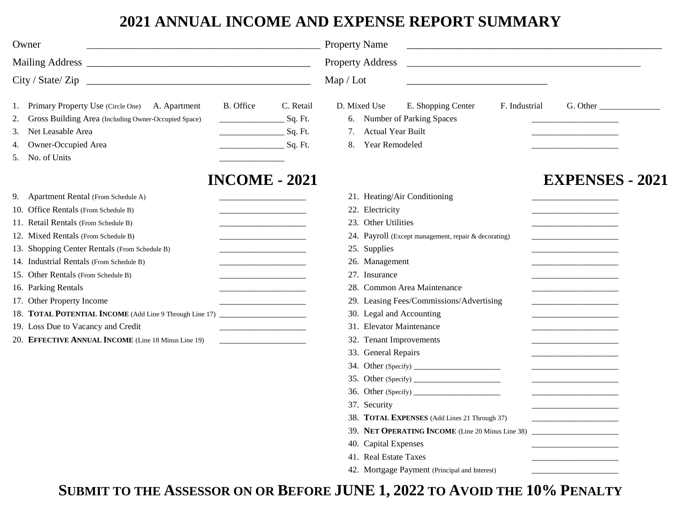# **2021 ANNUAL INCOME AND EXPENSE REPORT SUMMARY**

| Owner                                                                                                                                                                                                                                                                                                                                                                                                                                                                                                                                 |                                                                                                                                                                                                                                                          | <b>Property Name</b>                                                                                                                                                                                                                                                                                                                |                                                                                                                                                                                                                                                       |               | <u> 1989 - Johann Stoff, amerikansk politiker (d. 1989)</u> |  |
|---------------------------------------------------------------------------------------------------------------------------------------------------------------------------------------------------------------------------------------------------------------------------------------------------------------------------------------------------------------------------------------------------------------------------------------------------------------------------------------------------------------------------------------|----------------------------------------------------------------------------------------------------------------------------------------------------------------------------------------------------------------------------------------------------------|-------------------------------------------------------------------------------------------------------------------------------------------------------------------------------------------------------------------------------------------------------------------------------------------------------------------------------------|-------------------------------------------------------------------------------------------------------------------------------------------------------------------------------------------------------------------------------------------------------|---------------|-------------------------------------------------------------|--|
|                                                                                                                                                                                                                                                                                                                                                                                                                                                                                                                                       |                                                                                                                                                                                                                                                          | <b>Property Address</b>                                                                                                                                                                                                                                                                                                             |                                                                                                                                                                                                                                                       |               |                                                             |  |
| $City / State / Zip \_$                                                                                                                                                                                                                                                                                                                                                                                                                                                                                                               | Map / Lot                                                                                                                                                                                                                                                |                                                                                                                                                                                                                                                                                                                                     |                                                                                                                                                                                                                                                       |               |                                                             |  |
| 1. Primary Property Use (Circle One) A. Apartment<br><b>B.</b> Office<br>2. Gross Building Area (Including Owner-Occupied Space)<br>3. Net Leasable Area<br>4. Owner-Occupied Area<br>5. No. of Units                                                                                                                                                                                                                                                                                                                                 | C. Retail<br>Sq. Ft.<br>and the company of the company<br>$\_$ Sq. Ft.<br>Sq. Ft.                                                                                                                                                                        | D. Mixed Use<br>6. Number of Parking Spaces<br><b>Actual Year Built</b><br>7.<br>Year Remodeled<br>8.                                                                                                                                                                                                                               | E. Shopping Center                                                                                                                                                                                                                                    | F. Industrial | G. Other                                                    |  |
|                                                                                                                                                                                                                                                                                                                                                                                                                                                                                                                                       | <b>INCOME - 2021</b>                                                                                                                                                                                                                                     |                                                                                                                                                                                                                                                                                                                                     |                                                                                                                                                                                                                                                       |               | <b>EXPENSES - 2021</b>                                      |  |
| 9. Apartment Rental (From Schedule A)<br>10. Office Rentals (From Schedule B)<br>11. Retail Rentals (From Schedule B)<br>12. Mixed Rentals (From Schedule B)<br>13. Shopping Center Rentals (From Schedule B)<br>14. Industrial Rentals (From Schedule B)<br>15. Other Rentals (From Schedule B)<br>16. Parking Rentals<br>17. Other Property Income<br>18. TOTAL POTENTIAL INCOME (Add Line 9 Through Line 17) ________________________<br>19. Loss Due to Vacancy and Credit<br>20. EFFECTIVE ANNUAL INCOME (Line 18 Minus Line 19) | <u> 1980 - Johann Barbara, martin da k</u><br><u> 1980 - Johann John Stone, meil in der Stone (d. 1980)</u><br>the contract of the contract of the contract of<br>the contract of the contract of the<br>the contract of the contract of the contract of | 21. Heating/Air Conditioning<br>22. Electricity<br>23. Other Utilities<br>25. Supplies<br>26. Management<br>27. Insurance<br>28. Common Area Maintenance<br>30. Legal and Accounting<br>31. Elevator Maintenance<br>32. Tenant Improvements<br>33. General Repairs<br>37. Security<br>40. Capital Expenses<br>41. Real Estate Taxes | 24. Payroll (Except management, repair & decorating)<br>29. Leasing Fees/Commissions/Advertising<br>38. TOTAL EXPENSES (Add Lines 21 Through 37)<br>39. NET OPERATING INCOME (Line 20 Minus Line 38)<br>42. Mortgage Payment (Principal and Interest) |               | the control of the control of the control of the control of |  |

**SUBMIT TO THE ASSESSOR ON OR BEFORE JUNE 1, 2022 TO AVOID THE 10% PENALTY**